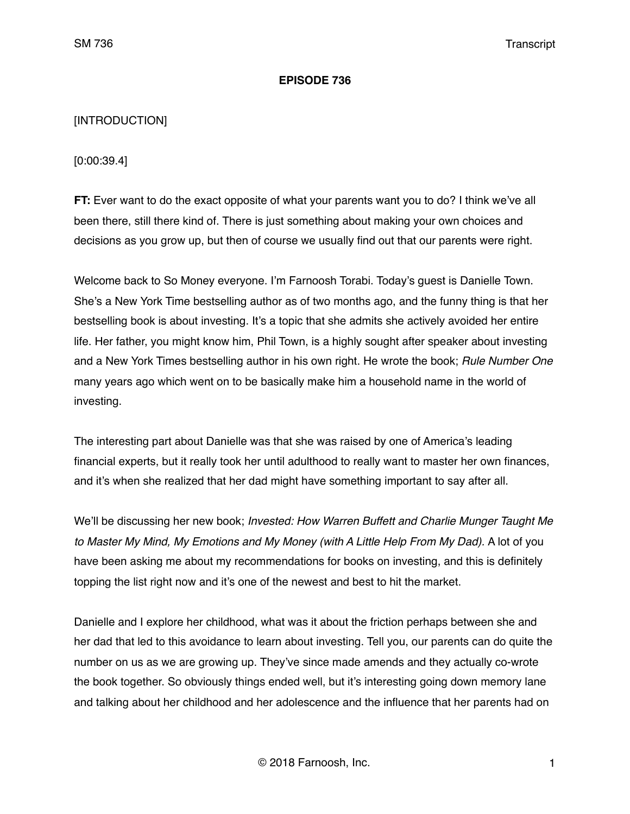## **EPISODE 736**

## [INTRODUCTION]

[0:00:39.4]

**FT:** Ever want to do the exact opposite of what your parents want you to do? I think we've all been there, still there kind of. There is just something about making your own choices and decisions as you grow up, but then of course we usually find out that our parents were right.

Welcome back to So Money everyone. I'm Farnoosh Torabi. Today's guest is Danielle Town. She's a New York Time bestselling author as of two months ago, and the funny thing is that her bestselling book is about investing. It's a topic that she admits she actively avoided her entire life. Her father, you might know him, Phil Town, is a highly sought after speaker about investing and a New York Times bestselling author in his own right. He wrote the book; *Rule Number One* many years ago which went on to be basically make him a household name in the world of investing.

The interesting part about Danielle was that she was raised by one of America's leading financial experts, but it really took her until adulthood to really want to master her own finances, and it's when she realized that her dad might have something important to say after all.

We'll be discussing her new book; *Invested: How Warren Buffett and Charlie Munger Taught Me*  to Master My Mind, My Emotions and My Money (with A Little Help From My Dad). A lot of you have been asking me about my recommendations for books on investing, and this is definitely topping the list right now and it's one of the newest and best to hit the market.

Danielle and I explore her childhood, what was it about the friction perhaps between she and her dad that led to this avoidance to learn about investing. Tell you, our parents can do quite the number on us as we are growing up. They've since made amends and they actually co-wrote the book together. So obviously things ended well, but it's interesting going down memory lane and talking about her childhood and her adolescence and the influence that her parents had on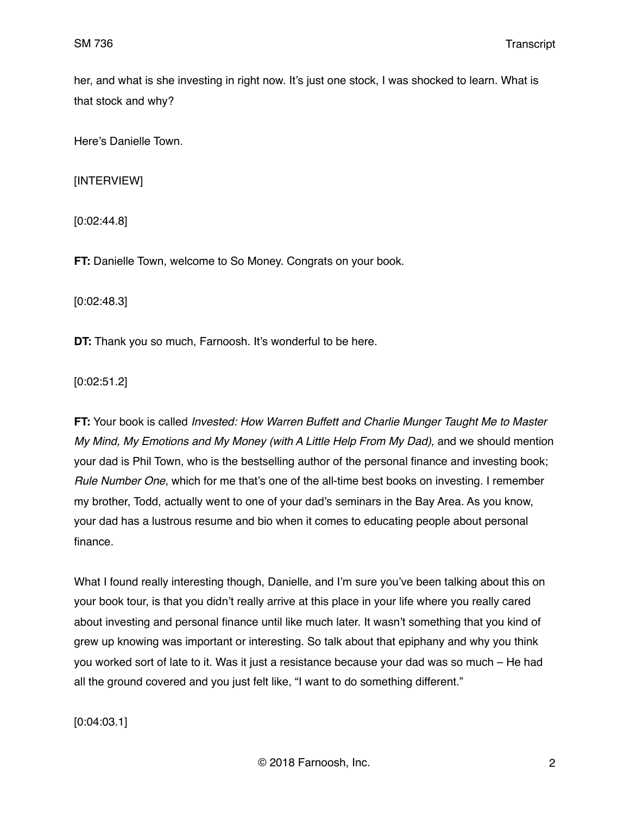her, and what is she investing in right now. It's just one stock, I was shocked to learn. What is that stock and why?

Here's Danielle Town.

[INTERVIEW]

[0:02:44.8]

**FT:** Danielle Town, welcome to So Money. Congrats on your book.

[0:02:48.3]

**DT:** Thank you so much, Farnoosh. It's wonderful to be here.

[0:02:51.2]

**FT:** Your book is called *Invested: How Warren Buffett and Charlie Munger Taught Me to Master My Mind, My Emotions and My Money (with A Little Help From My Dad)*, and we should mention your dad is Phil Town, who is the bestselling author of the personal finance and investing book; *Rule Number One*, which for me that's one of the all-time best books on investing. I remember my brother, Todd, actually went to one of your dad's seminars in the Bay Area. As you know, your dad has a lustrous resume and bio when it comes to educating people about personal finance.

What I found really interesting though, Danielle, and I'm sure you've been talking about this on your book tour, is that you didn't really arrive at this place in your life where you really cared about investing and personal finance until like much later. It wasn't something that you kind of grew up knowing was important or interesting. So talk about that epiphany and why you think you worked sort of late to it. Was it just a resistance because your dad was so much – He had all the ground covered and you just felt like, "I want to do something different."

[0:04:03.1]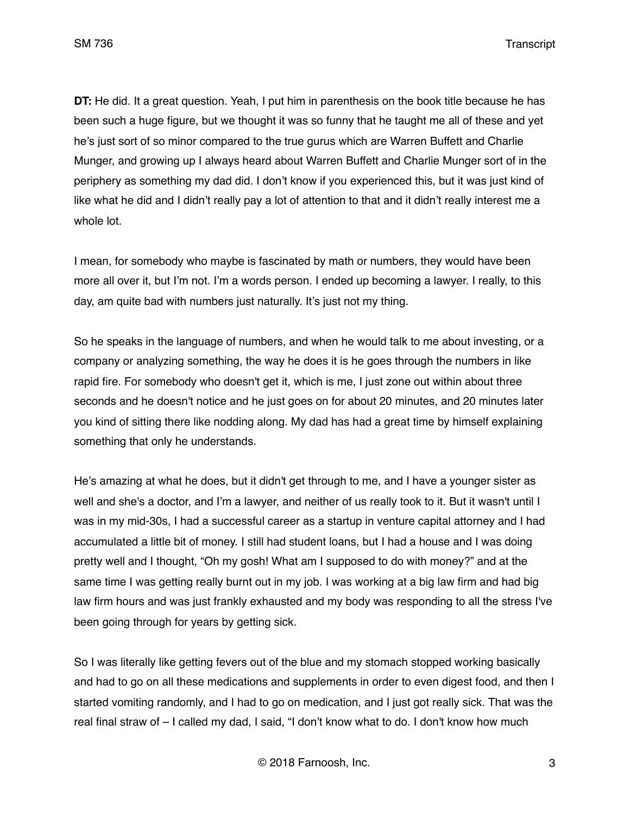**DT:** He did. It a great question. Yeah, I put him in parenthesis on the book title because he has been such a huge figure, but we thought it was so funny that he taught me all of these and yet he's just sort of so minor compared to the true gurus which are Warren Buffett and Charlie Munger, and growing up I always heard about Warren Buffett and Charlie Munger sort of in the periphery as something my dad did. I don't know if you experienced this, but it was just kind of like what he did and I didn't really pay a lot of attention to that and it didn't really interest me a whole lot.

I mean, for somebody who maybe is fascinated by math or numbers, they would have been more all over it, but I'm not. I'm a words person. I ended up becoming a lawyer. I really, to this day, am quite bad with numbers just naturally. It's just not my thing.

So he speaks in the language of numbers, and when he would talk to me about investing, or a company or analyzing something, the way he does it is he goes through the numbers in like rapid fire. For somebody who doesn't get it, which is me, I just zone out within about three seconds and he doesn't notice and he just goes on for about 20 minutes, and 20 minutes later you kind of sitting there like nodding along. My dad has had a great time by himself explaining something that only he understands.

He's amazing at what he does, but it didn't get through to me, and I have a younger sister as well and she's a doctor, and I'm a lawyer, and neither of us really took to it. But it wasn't until I was in my mid-30s, I had a successful career as a startup in venture capital attorney and I had accumulated a little bit of money. I still had student loans, but I had a house and I was doing pretty well and I thought, "Oh my gosh! What am I supposed to do with money?" and at the same time I was getting really burnt out in my job. I was working at a big law firm and had big law firm hours and was just frankly exhausted and my body was responding to all the stress I've been going through for years by getting sick.

So I was literally like getting fevers out of the blue and my stomach stopped working basically and had to go on all these medications and supplements in order to even digest food, and then I started vomiting randomly, and I had to go on medication, and I just got really sick. That was the real final straw of – I called my dad, I said, "I don't know what to do. I don't know how much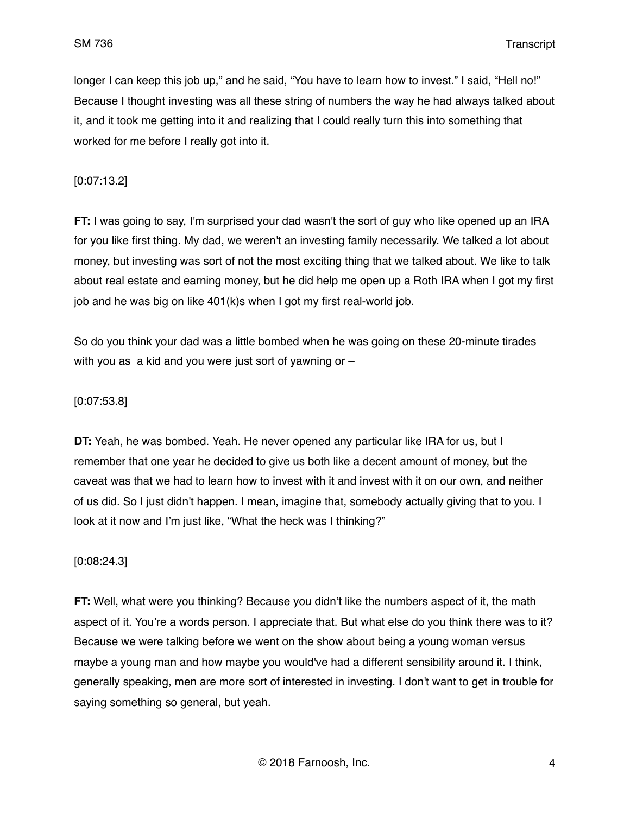longer I can keep this job up," and he said, "You have to learn how to invest." I said, "Hell no!" Because I thought investing was all these string of numbers the way he had always talked about it, and it took me getting into it and realizing that I could really turn this into something that worked for me before I really got into it.

## [0:07:13.2]

**FT:** I was going to say, I'm surprised your dad wasn't the sort of guy who like opened up an IRA for you like first thing. My dad, we weren't an investing family necessarily. We talked a lot about money, but investing was sort of not the most exciting thing that we talked about. We like to talk about real estate and earning money, but he did help me open up a Roth IRA when I got my first job and he was big on like 401(k)s when I got my first real-world job.

So do you think your dad was a little bombed when he was going on these 20-minute tirades with you as a kid and you were just sort of yawning or –

## [0:07:53.8]

**DT:** Yeah, he was bombed. Yeah. He never opened any particular like IRA for us, but I remember that one year he decided to give us both like a decent amount of money, but the caveat was that we had to learn how to invest with it and invest with it on our own, and neither of us did. So I just didn't happen. I mean, imagine that, somebody actually giving that to you. I look at it now and I'm just like, "What the heck was I thinking?"

## [0:08:24.3]

**FT:** Well, what were you thinking? Because you didn't like the numbers aspect of it, the math aspect of it. You're a words person. I appreciate that. But what else do you think there was to it? Because we were talking before we went on the show about being a young woman versus maybe a young man and how maybe you would've had a different sensibility around it. I think, generally speaking, men are more sort of interested in investing. I don't want to get in trouble for saying something so general, but yeah.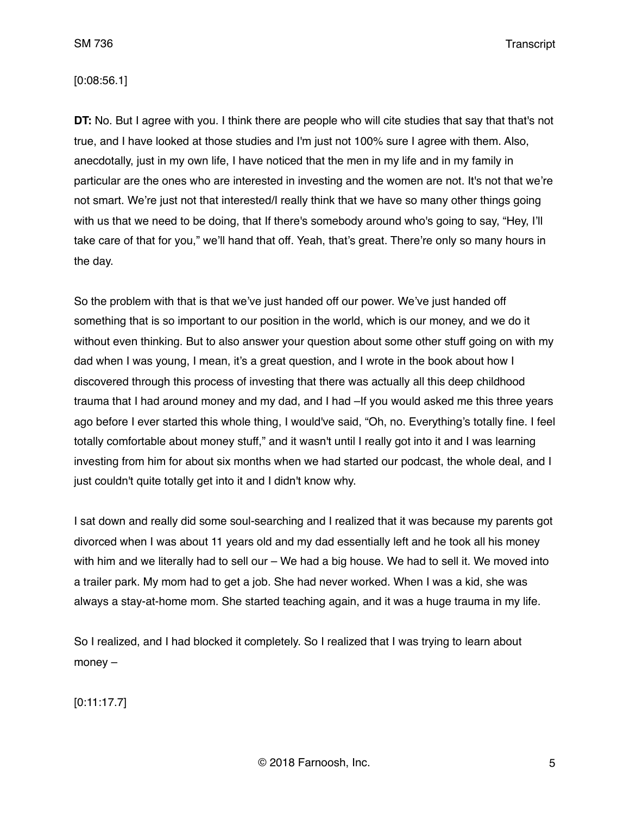#### [0:08:56.1]

**DT:** No. But I agree with you. I think there are people who will cite studies that say that that's not true, and I have looked at those studies and I'm just not 100% sure I agree with them. Also, anecdotally, just in my own life, I have noticed that the men in my life and in my family in particular are the ones who are interested in investing and the women are not. It's not that we're not smart. We're just not that interested/I really think that we have so many other things going with us that we need to be doing, that If there's somebody around who's going to say, "Hey, I'll take care of that for you," we'll hand that off. Yeah, that's great. There're only so many hours in the day.

So the problem with that is that we've just handed off our power. We've just handed off something that is so important to our position in the world, which is our money, and we do it without even thinking. But to also answer your question about some other stuff going on with my dad when I was young, I mean, it's a great question, and I wrote in the book about how I discovered through this process of investing that there was actually all this deep childhood trauma that I had around money and my dad, and I had –If you would asked me this three years ago before I ever started this whole thing, I would've said, "Oh, no. Everything's totally fine. I feel totally comfortable about money stuff," and it wasn't until I really got into it and I was learning investing from him for about six months when we had started our podcast, the whole deal, and I just couldn't quite totally get into it and I didn't know why.

I sat down and really did some soul-searching and I realized that it was because my parents got divorced when I was about 11 years old and my dad essentially left and he took all his money with him and we literally had to sell our – We had a big house. We had to sell it. We moved into a trailer park. My mom had to get a job. She had never worked. When I was a kid, she was always a stay-at-home mom. She started teaching again, and it was a huge trauma in my life.

So I realized, and I had blocked it completely. So I realized that I was trying to learn about money –

[0:11:17.7]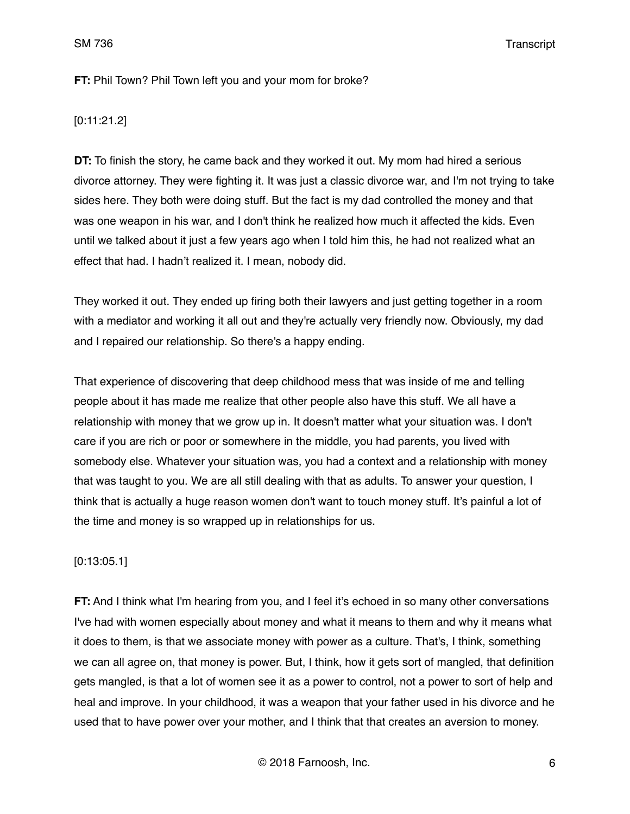**FT:** Phil Town? Phil Town left you and your mom for broke?

## [0:11:21.2]

**DT:** To finish the story, he came back and they worked it out. My mom had hired a serious divorce attorney. They were fighting it. It was just a classic divorce war, and I'm not trying to take sides here. They both were doing stuff. But the fact is my dad controlled the money and that was one weapon in his war, and I don't think he realized how much it affected the kids. Even until we talked about it just a few years ago when I told him this, he had not realized what an effect that had. I hadn't realized it. I mean, nobody did.

They worked it out. They ended up firing both their lawyers and just getting together in a room with a mediator and working it all out and they're actually very friendly now. Obviously, my dad and I repaired our relationship. So there's a happy ending.

That experience of discovering that deep childhood mess that was inside of me and telling people about it has made me realize that other people also have this stuff. We all have a relationship with money that we grow up in. It doesn't matter what your situation was. I don't care if you are rich or poor or somewhere in the middle, you had parents, you lived with somebody else. Whatever your situation was, you had a context and a relationship with money that was taught to you. We are all still dealing with that as adults. To answer your question, I think that is actually a huge reason women don't want to touch money stuff. It's painful a lot of the time and money is so wrapped up in relationships for us.

## [0:13:05.1]

**FT:** And I think what I'm hearing from you, and I feel it's echoed in so many other conversations I've had with women especially about money and what it means to them and why it means what it does to them, is that we associate money with power as a culture. That's, I think, something we can all agree on, that money is power. But, I think, how it gets sort of mangled, that definition gets mangled, is that a lot of women see it as a power to control, not a power to sort of help and heal and improve. In your childhood, it was a weapon that your father used in his divorce and he used that to have power over your mother, and I think that that creates an aversion to money.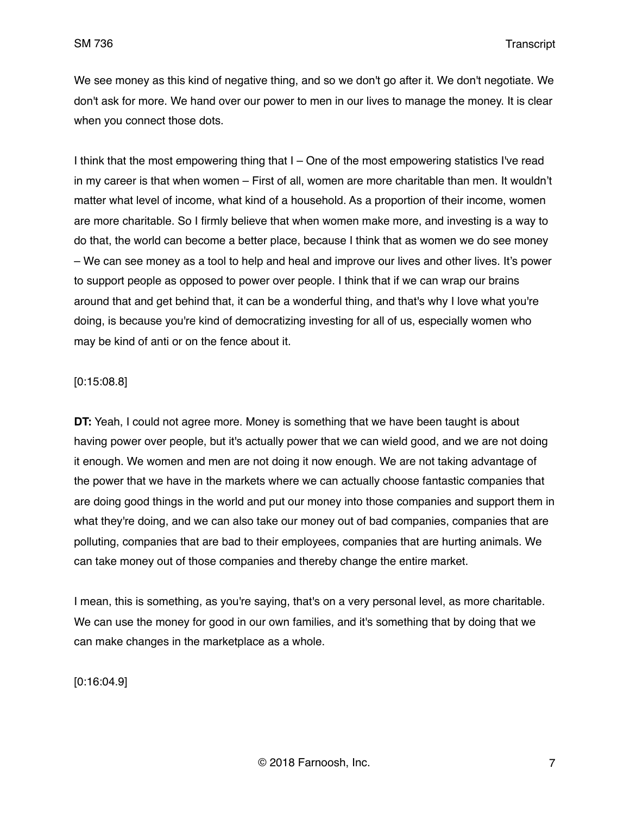We see money as this kind of negative thing, and so we don't go after it. We don't negotiate. We don't ask for more. We hand over our power to men in our lives to manage the money. It is clear when you connect those dots.

I think that the most empowering thing that I – One of the most empowering statistics I've read in my career is that when women – First of all, women are more charitable than men. It wouldn't matter what level of income, what kind of a household. As a proportion of their income, women are more charitable. So I firmly believe that when women make more, and investing is a way to do that, the world can become a better place, because I think that as women we do see money – We can see money as a tool to help and heal and improve our lives and other lives. It's power to support people as opposed to power over people. I think that if we can wrap our brains around that and get behind that, it can be a wonderful thing, and that's why I love what you're doing, is because you're kind of democratizing investing for all of us, especially women who may be kind of anti or on the fence about it.

## [0:15:08.8]

**DT:** Yeah, I could not agree more. Money is something that we have been taught is about having power over people, but it's actually power that we can wield good, and we are not doing it enough. We women and men are not doing it now enough. We are not taking advantage of the power that we have in the markets where we can actually choose fantastic companies that are doing good things in the world and put our money into those companies and support them in what they're doing, and we can also take our money out of bad companies, companies that are polluting, companies that are bad to their employees, companies that are hurting animals. We can take money out of those companies and thereby change the entire market.

I mean, this is something, as you're saying, that's on a very personal level, as more charitable. We can use the money for good in our own families, and it's something that by doing that we can make changes in the marketplace as a whole.

[0:16:04.9]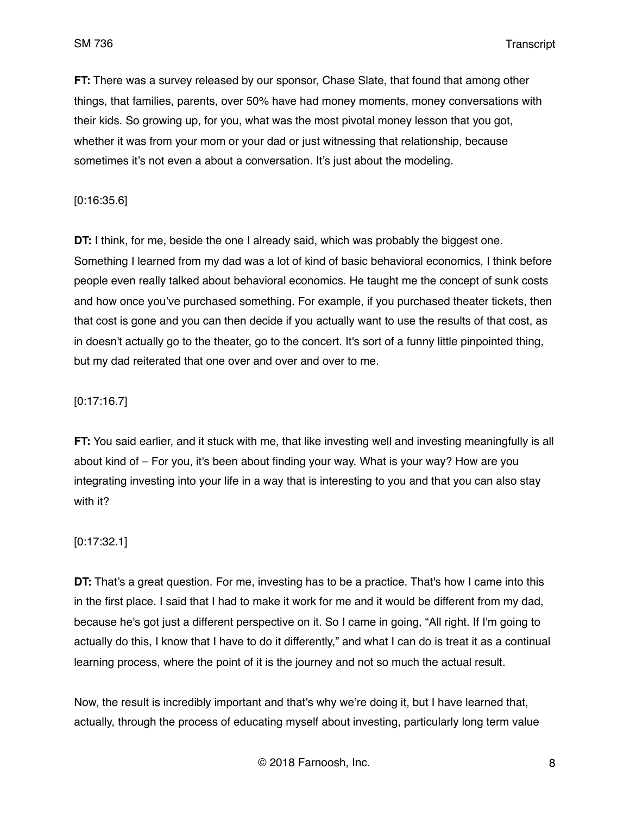**FT:** There was a survey released by our sponsor, Chase Slate, that found that among other things, that families, parents, over 50% have had money moments, money conversations with their kids. So growing up, for you, what was the most pivotal money lesson that you got, whether it was from your mom or your dad or just witnessing that relationship, because sometimes it's not even a about a conversation. It's just about the modeling.

### [0:16:35.6]

**DT:** I think, for me, beside the one I already said, which was probably the biggest one. Something I learned from my dad was a lot of kind of basic behavioral economics, I think before people even really talked about behavioral economics. He taught me the concept of sunk costs and how once you've purchased something. For example, if you purchased theater tickets, then that cost is gone and you can then decide if you actually want to use the results of that cost, as in doesn't actually go to the theater, go to the concert. It's sort of a funny little pinpointed thing, but my dad reiterated that one over and over and over to me.

## [0:17:16.7]

**FT:** You said earlier, and it stuck with me, that like investing well and investing meaningfully is all about kind of – For you, it's been about finding your way. What is your way? How are you integrating investing into your life in a way that is interesting to you and that you can also stay with it?

### [0:17:32.1]

**DT:** That's a great question. For me, investing has to be a practice. That's how I came into this in the first place. I said that I had to make it work for me and it would be different from my dad, because he's got just a different perspective on it. So I came in going, "All right. If I'm going to actually do this, I know that I have to do it differently," and what I can do is treat it as a continual learning process, where the point of it is the journey and not so much the actual result.

Now, the result is incredibly important and that's why we're doing it, but I have learned that, actually, through the process of educating myself about investing, particularly long term value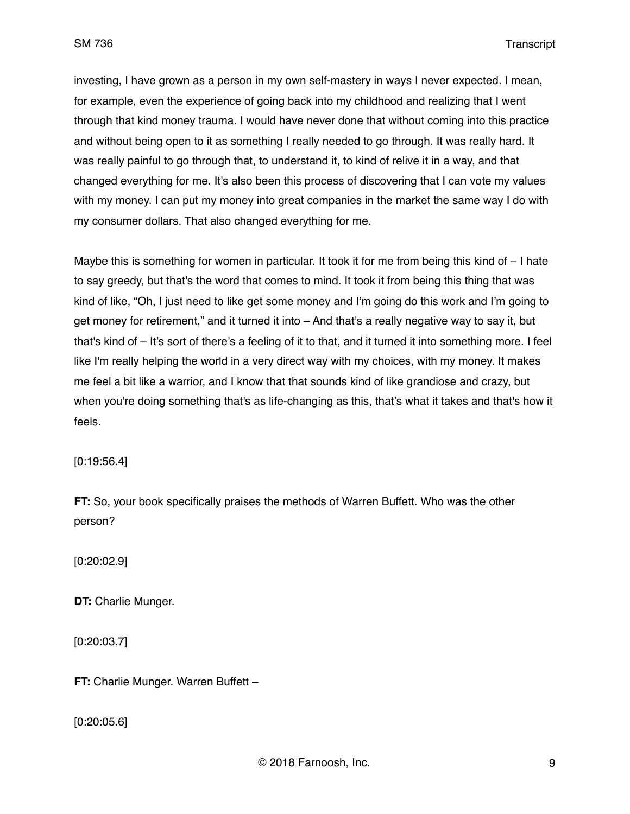investing, I have grown as a person in my own self-mastery in ways I never expected. I mean, for example, even the experience of going back into my childhood and realizing that I went through that kind money trauma. I would have never done that without coming into this practice and without being open to it as something I really needed to go through. It was really hard. It was really painful to go through that, to understand it, to kind of relive it in a way, and that changed everything for me. It's also been this process of discovering that I can vote my values with my money. I can put my money into great companies in the market the same way I do with my consumer dollars. That also changed everything for me.

Maybe this is something for women in particular. It took it for me from being this kind of  $-1$  hate to say greedy, but that's the word that comes to mind. It took it from being this thing that was kind of like, "Oh, I just need to like get some money and I'm going do this work and I'm going to get money for retirement," and it turned it into – And that's a really negative way to say it, but that's kind of – It's sort of there's a feeling of it to that, and it turned it into something more. I feel like I'm really helping the world in a very direct way with my choices, with my money. It makes me feel a bit like a warrior, and I know that that sounds kind of like grandiose and crazy, but when you're doing something that's as life-changing as this, that's what it takes and that's how it feels.

[0:19:56.4]

**FT:** So, your book specifically praises the methods of Warren Buffett. Who was the other person?

[0:20:02.9]

**DT:** Charlie Munger.

[0:20:03.7]

**FT:** Charlie Munger. Warren Buffett –

[0:20:05.6]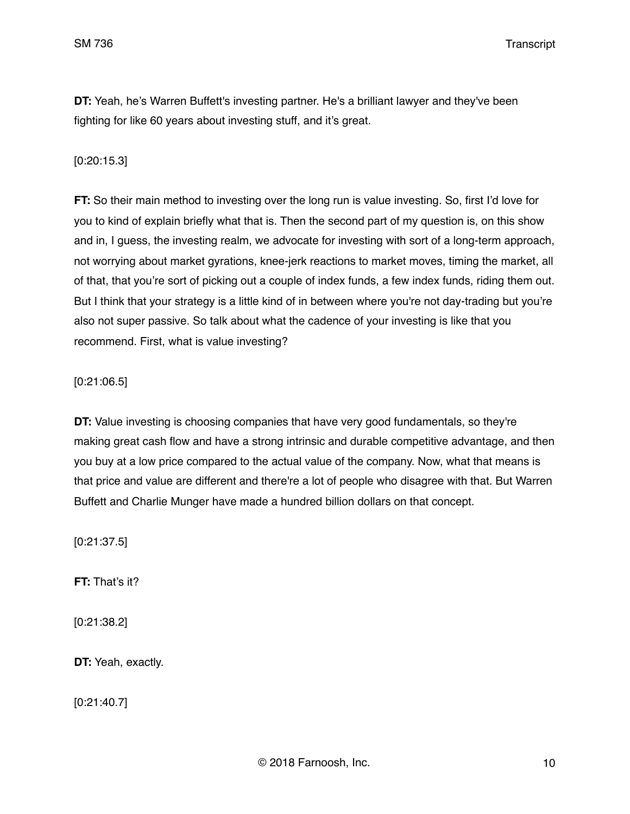**DT:** Yeah, he's Warren Buffett's investing partner. He's a brilliant lawyer and they've been fighting for like 60 years about investing stuff, and it's great.

## [0:20:15.3]

**FT:** So their main method to investing over the long run is value investing. So, first I'd love for you to kind of explain briefly what that is. Then the second part of my question is, on this show and in, I guess, the investing realm, we advocate for investing with sort of a long-term approach, not worrying about market gyrations, knee-jerk reactions to market moves, timing the market, all of that, that you're sort of picking out a couple of index funds, a few index funds, riding them out. But I think that your strategy is a little kind of in between where you're not day-trading but you're also not super passive. So talk about what the cadence of your investing is like that you recommend. First, what is value investing?

## [0:21:06.5]

**DT:** Value investing is choosing companies that have very good fundamentals, so they're making great cash flow and have a strong intrinsic and durable competitive advantage, and then you buy at a low price compared to the actual value of the company. Now, what that means is that price and value are different and there're a lot of people who disagree with that. But Warren Buffett and Charlie Munger have made a hundred billion dollars on that concept.

[0:21:37.5]

**FT:** That's it?

[0:21:38.2]

**DT:** Yeah, exactly.

[0:21:40.7]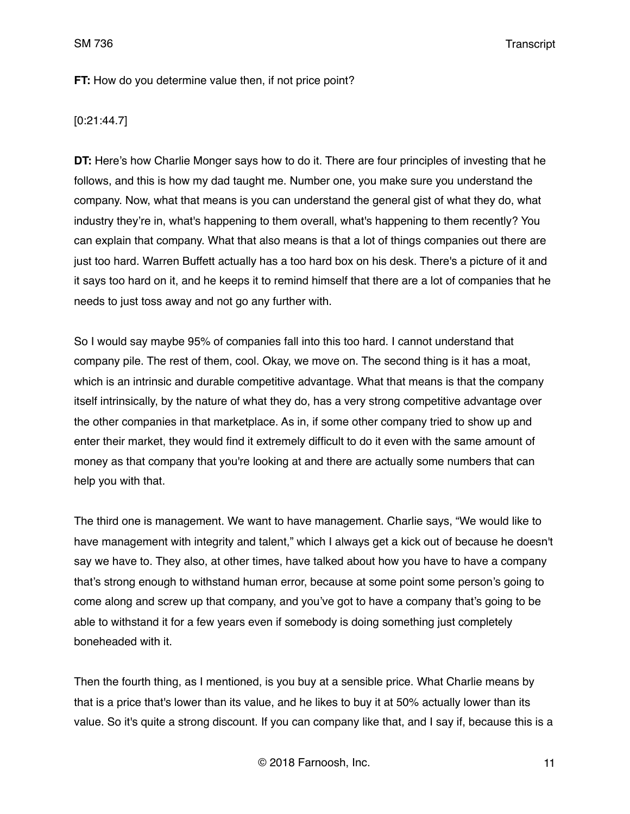## **FT:** How do you determine value then, if not price point?

[0:21:44.7]

**DT:** Here's how Charlie Monger says how to do it. There are four principles of investing that he follows, and this is how my dad taught me. Number one, you make sure you understand the company. Now, what that means is you can understand the general gist of what they do, what industry they're in, what's happening to them overall, what's happening to them recently? You can explain that company. What that also means is that a lot of things companies out there are just too hard. Warren Buffett actually has a too hard box on his desk. There's a picture of it and it says too hard on it, and he keeps it to remind himself that there are a lot of companies that he needs to just toss away and not go any further with.

So I would say maybe 95% of companies fall into this too hard. I cannot understand that company pile. The rest of them, cool. Okay, we move on. The second thing is it has a moat, which is an intrinsic and durable competitive advantage. What that means is that the company itself intrinsically, by the nature of what they do, has a very strong competitive advantage over the other companies in that marketplace. As in, if some other company tried to show up and enter their market, they would find it extremely difficult to do it even with the same amount of money as that company that you're looking at and there are actually some numbers that can help you with that.

The third one is management. We want to have management. Charlie says, "We would like to have management with integrity and talent," which I always get a kick out of because he doesn't say we have to. They also, at other times, have talked about how you have to have a company that's strong enough to withstand human error, because at some point some person's going to come along and screw up that company, and you've got to have a company that's going to be able to withstand it for a few years even if somebody is doing something just completely boneheaded with it.

Then the fourth thing, as I mentioned, is you buy at a sensible price. What Charlie means by that is a price that's lower than its value, and he likes to buy it at 50% actually lower than its value. So it's quite a strong discount. If you can company like that, and I say if, because this is a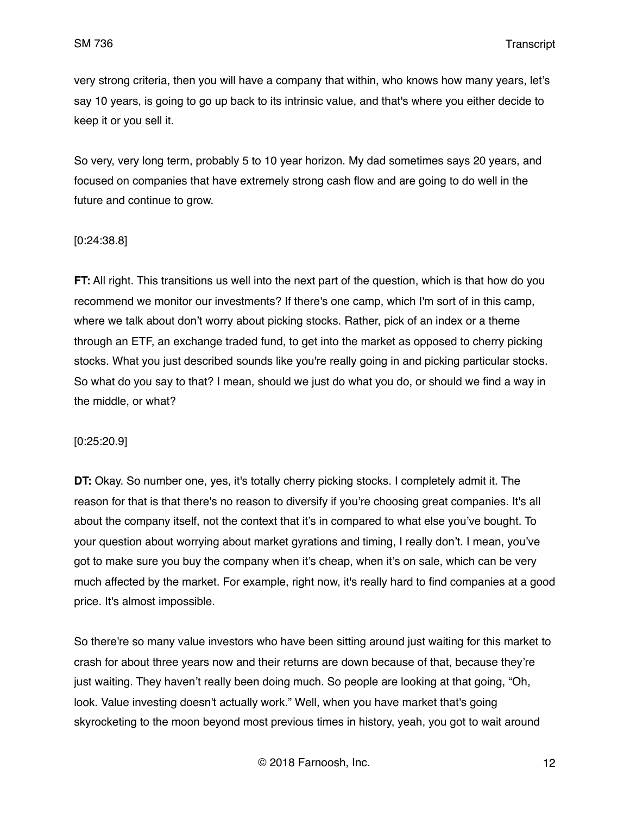very strong criteria, then you will have a company that within, who knows how many years, let's say 10 years, is going to go up back to its intrinsic value, and that's where you either decide to keep it or you sell it.

So very, very long term, probably 5 to 10 year horizon. My dad sometimes says 20 years, and focused on companies that have extremely strong cash flow and are going to do well in the future and continue to grow.

## [0:24:38.8]

**FT:** All right. This transitions us well into the next part of the question, which is that how do you recommend we monitor our investments? If there's one camp, which I'm sort of in this camp, where we talk about don't worry about picking stocks. Rather, pick of an index or a theme through an ETF, an exchange traded fund, to get into the market as opposed to cherry picking stocks. What you just described sounds like you're really going in and picking particular stocks. So what do you say to that? I mean, should we just do what you do, or should we find a way in the middle, or what?

#### [0:25:20.9]

**DT:** Okay. So number one, yes, it's totally cherry picking stocks. I completely admit it. The reason for that is that there's no reason to diversify if you're choosing great companies. It's all about the company itself, not the context that it's in compared to what else you've bought. To your question about worrying about market gyrations and timing, I really don't. I mean, you've got to make sure you buy the company when it's cheap, when it's on sale, which can be very much affected by the market. For example, right now, it's really hard to find companies at a good price. It's almost impossible.

So there're so many value investors who have been sitting around just waiting for this market to crash for about three years now and their returns are down because of that, because they're just waiting. They haven't really been doing much. So people are looking at that going, "Oh, look. Value investing doesn't actually work." Well, when you have market that's going skyrocketing to the moon beyond most previous times in history, yeah, you got to wait around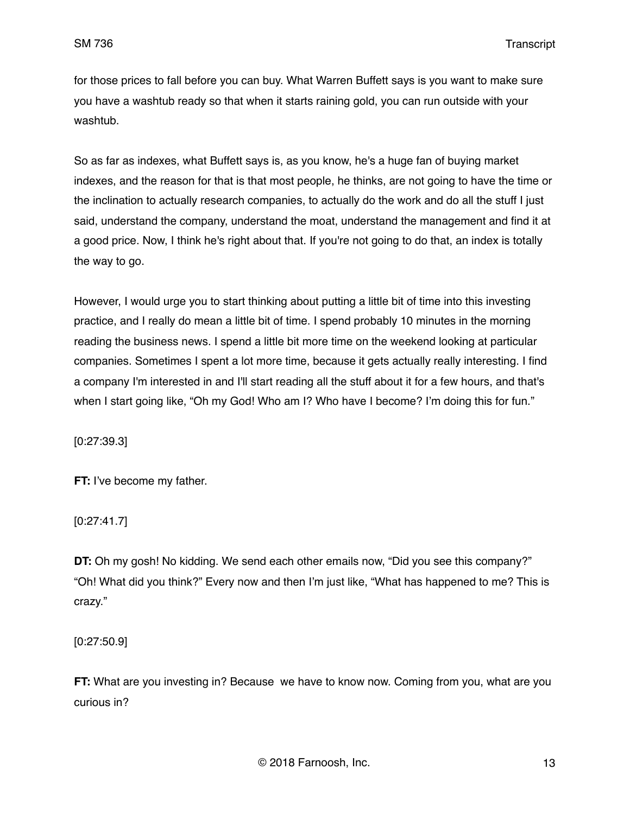for those prices to fall before you can buy. What Warren Buffett says is you want to make sure you have a washtub ready so that when it starts raining gold, you can run outside with your washtub.

So as far as indexes, what Buffett says is, as you know, he's a huge fan of buying market indexes, and the reason for that is that most people, he thinks, are not going to have the time or the inclination to actually research companies, to actually do the work and do all the stuff I just said, understand the company, understand the moat, understand the management and find it at a good price. Now, I think he's right about that. If you're not going to do that, an index is totally the way to go.

However, I would urge you to start thinking about putting a little bit of time into this investing practice, and I really do mean a little bit of time. I spend probably 10 minutes in the morning reading the business news. I spend a little bit more time on the weekend looking at particular companies. Sometimes I spent a lot more time, because it gets actually really interesting. I find a company I'm interested in and I'll start reading all the stuff about it for a few hours, and that's when I start going like, "Oh my God! Who am I? Who have I become? I'm doing this for fun."

[0:27:39.3]

**FT:** I've become my father.

[0:27:41.7]

**DT:** Oh my gosh! No kidding. We send each other emails now, "Did you see this company?" "Oh! What did you think?" Every now and then I'm just like, "What has happened to me? This is crazy."

[0:27:50.9]

**FT:** What are you investing in? Because we have to know now. Coming from you, what are you curious in?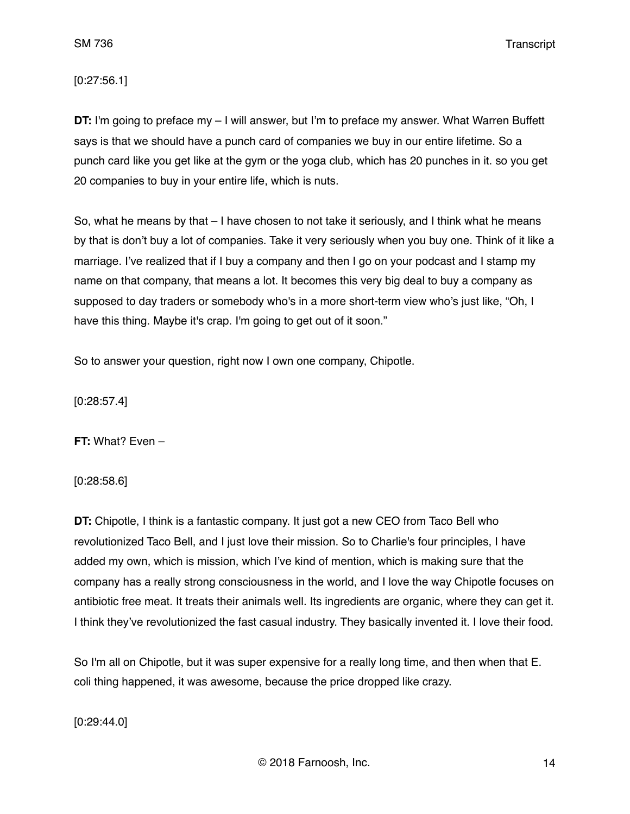[0:27:56.1]

**DT:** I'm going to preface my – I will answer, but I'm to preface my answer. What Warren Buffett says is that we should have a punch card of companies we buy in our entire lifetime. So a punch card like you get like at the gym or the yoga club, which has 20 punches in it. so you get 20 companies to buy in your entire life, which is nuts.

So, what he means by that – I have chosen to not take it seriously, and I think what he means by that is don't buy a lot of companies. Take it very seriously when you buy one. Think of it like a marriage. I've realized that if I buy a company and then I go on your podcast and I stamp my name on that company, that means a lot. It becomes this very big deal to buy a company as supposed to day traders or somebody who's in a more short-term view who's just like, "Oh, I have this thing. Maybe it's crap. I'm going to get out of it soon."

So to answer your question, right now I own one company, Chipotle.

[0:28:57.4]

**FT:** What? Even –

[0:28:58.6]

**DT:** Chipotle, I think is a fantastic company. It just got a new CEO from Taco Bell who revolutionized Taco Bell, and I just love their mission. So to Charlie's four principles, I have added my own, which is mission, which I've kind of mention, which is making sure that the company has a really strong consciousness in the world, and I love the way Chipotle focuses on antibiotic free meat. It treats their animals well. Its ingredients are organic, where they can get it. I think they've revolutionized the fast casual industry. They basically invented it. I love their food.

So I'm all on Chipotle, but it was super expensive for a really long time, and then when that E. coli thing happened, it was awesome, because the price dropped like crazy.

[0:29:44.0]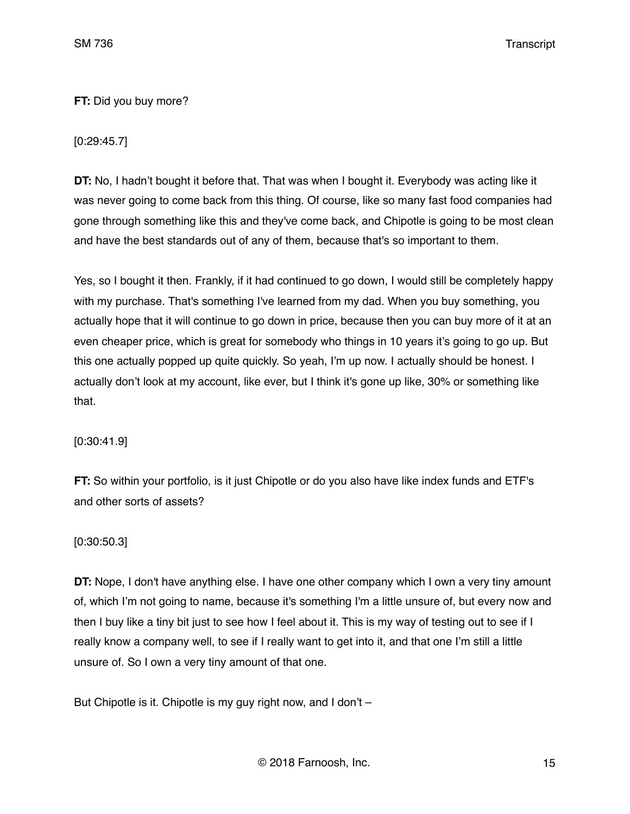## **FT:** Did you buy more?

# [0:29:45.7]

**DT:** No, I hadn't bought it before that. That was when I bought it. Everybody was acting like it was never going to come back from this thing. Of course, like so many fast food companies had gone through something like this and they've come back, and Chipotle is going to be most clean and have the best standards out of any of them, because that's so important to them.

Yes, so I bought it then. Frankly, if it had continued to go down, I would still be completely happy with my purchase. That's something I've learned from my dad. When you buy something, you actually hope that it will continue to go down in price, because then you can buy more of it at an even cheaper price, which is great for somebody who things in 10 years it's going to go up. But this one actually popped up quite quickly. So yeah, I'm up now. I actually should be honest. I actually don't look at my account, like ever, but I think it's gone up like, 30% or something like that.

[0:30:41.9]

**FT:** So within your portfolio, is it just Chipotle or do you also have like index funds and ETF's and other sorts of assets?

## [0:30:50.3]

**DT:** Nope, I don't have anything else. I have one other company which I own a very tiny amount of, which I'm not going to name, because it's something I'm a little unsure of, but every now and then I buy like a tiny bit just to see how I feel about it. This is my way of testing out to see if I really know a company well, to see if I really want to get into it, and that one I'm still a little unsure of. So I own a very tiny amount of that one.

But Chipotle is it. Chipotle is my guy right now, and I don't –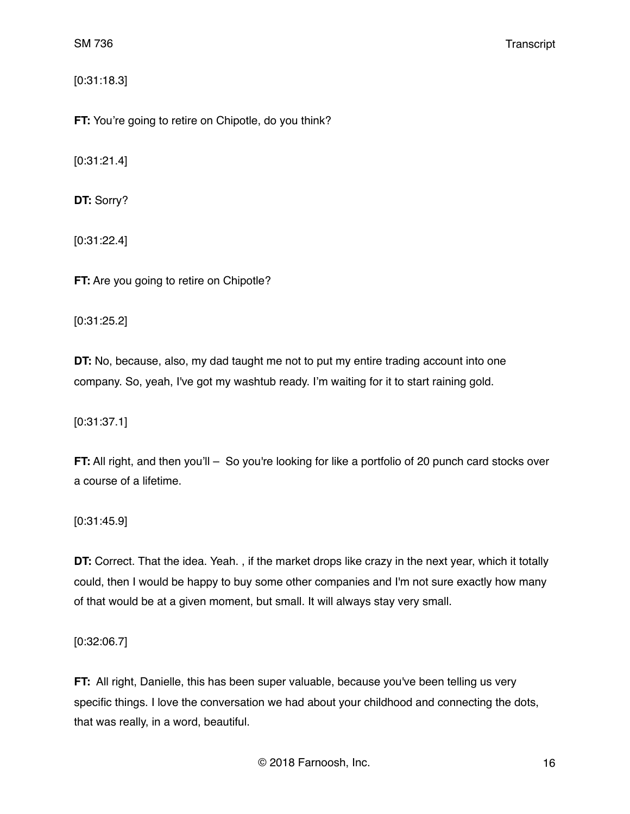[0:31:18.3]

**FT:** You're going to retire on Chipotle, do you think?

[0:31:21.4]

**DT:** Sorry?

[0:31:22.4]

**FT:** Are you going to retire on Chipotle?

[0:31:25.2]

**DT:** No, because, also, my dad taught me not to put my entire trading account into one company. So, yeah, I've got my washtub ready. I'm waiting for it to start raining gold.

[0:31:37.1]

**FT:** All right, and then you'll – So you're looking for like a portfolio of 20 punch card stocks over a course of a lifetime.

[0:31:45.9]

**DT:** Correct. That the idea. Yeah. , if the market drops like crazy in the next year, which it totally could, then I would be happy to buy some other companies and I'm not sure exactly how many of that would be at a given moment, but small. It will always stay very small.

[0:32:06.7]

**FT:** All right, Danielle, this has been super valuable, because you've been telling us very specific things. I love the conversation we had about your childhood and connecting the dots, that was really, in a word, beautiful.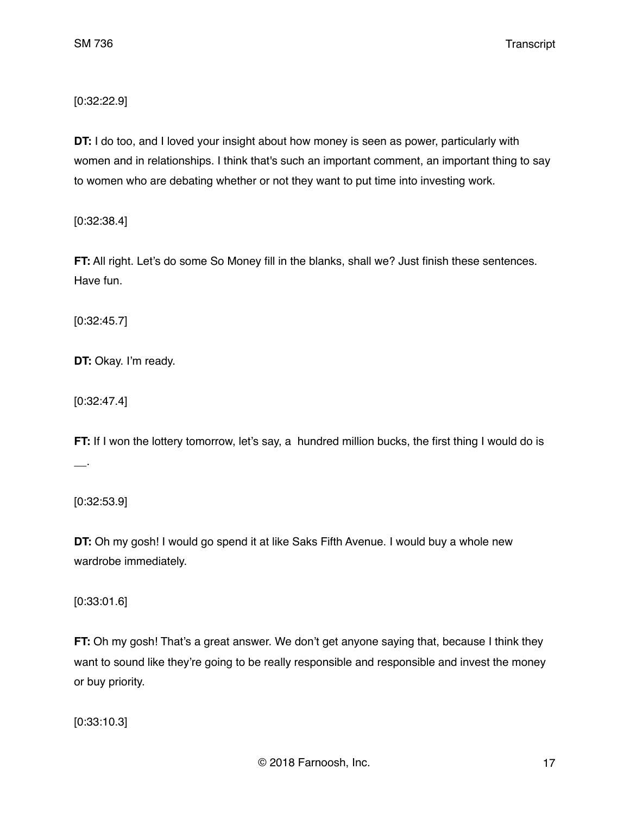[0:32:22.9]

**DT:** I do too, and I loved your insight about how money is seen as power, particularly with women and in relationships. I think that's such an important comment, an important thing to say to women who are debating whether or not they want to put time into investing work.

[0:32:38.4]

**FT:** All right. Let's do some So Money fill in the blanks, shall we? Just finish these sentences. Have fun.

[0:32:45.7]

**DT:** Okay. I'm ready.

[0:32:47.4]

**FT:** If I won the lottery tomorrow, let's say, a hundred million bucks, the first thing I would do is \_\_.

[0:32:53.9]

**DT:** Oh my gosh! I would go spend it at like Saks Fifth Avenue. I would buy a whole new wardrobe immediately.

[0:33:01.6]

**FT:** Oh my gosh! That's a great answer. We don't get anyone saying that, because I think they want to sound like they're going to be really responsible and responsible and invest the money or buy priority.

[0:33:10.3]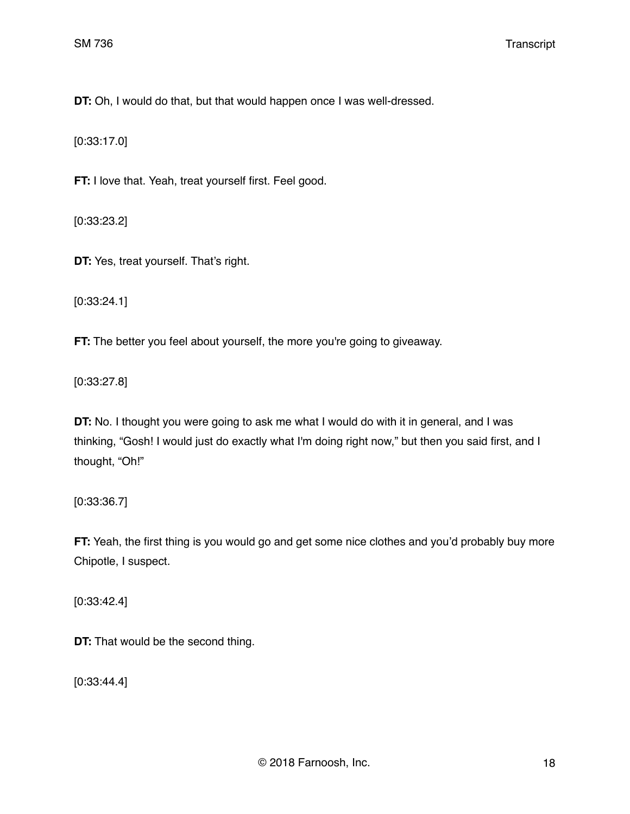**DT:** Oh, I would do that, but that would happen once I was well-dressed.

[0:33:17.0]

**FT:** I love that. Yeah, treat yourself first. Feel good.

[0:33:23.2]

**DT:** Yes, treat yourself. That's right.

[0:33:24.1]

**FT:** The better you feel about yourself, the more you're going to giveaway.

[0:33:27.8]

**DT:** No. I thought you were going to ask me what I would do with it in general, and I was thinking, "Gosh! I would just do exactly what I'm doing right now," but then you said first, and I thought, "Oh!"

[0:33:36.7]

**FT:** Yeah, the first thing is you would go and get some nice clothes and you'd probably buy more Chipotle, I suspect.

[0:33:42.4]

**DT:** That would be the second thing.

[0:33:44.4]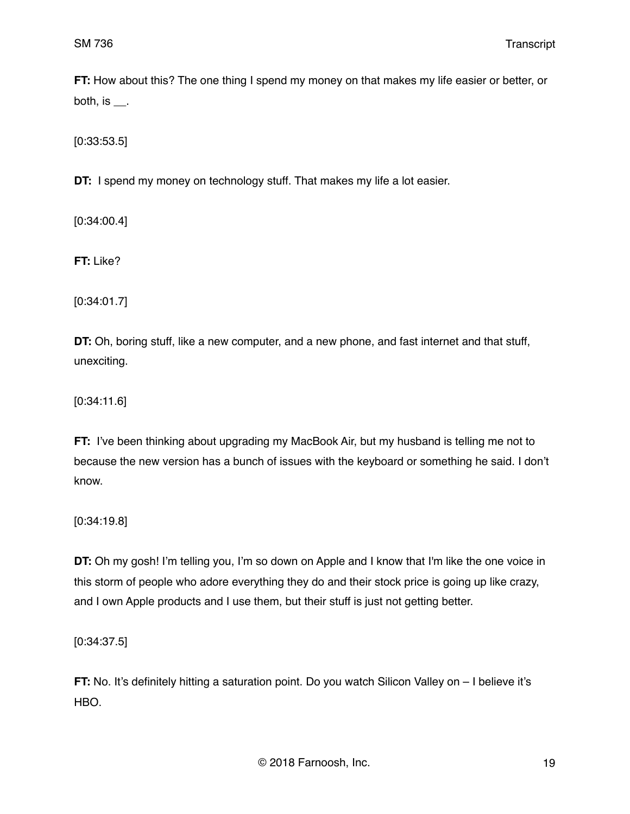**FT:** How about this? The one thing I spend my money on that makes my life easier or better, or both, is  $\_\_$ .

[0:33:53.5]

**DT:** I spend my money on technology stuff. That makes my life a lot easier.

[0:34:00.4]

**FT:** Like?

[0:34:01.7]

**DT:** Oh, boring stuff, like a new computer, and a new phone, and fast internet and that stuff, unexciting.

[0:34:11.6]

**FT:** I've been thinking about upgrading my MacBook Air, but my husband is telling me not to because the new version has a bunch of issues with the keyboard or something he said. I don't know.

[0:34:19.8]

**DT:** Oh my gosh! I'm telling you, I'm so down on Apple and I know that I'm like the one voice in this storm of people who adore everything they do and their stock price is going up like crazy, and I own Apple products and I use them, but their stuff is just not getting better.

[0:34:37.5]

**FT:** No. It's definitely hitting a saturation point. Do you watch Silicon Valley on – I believe it's HBO.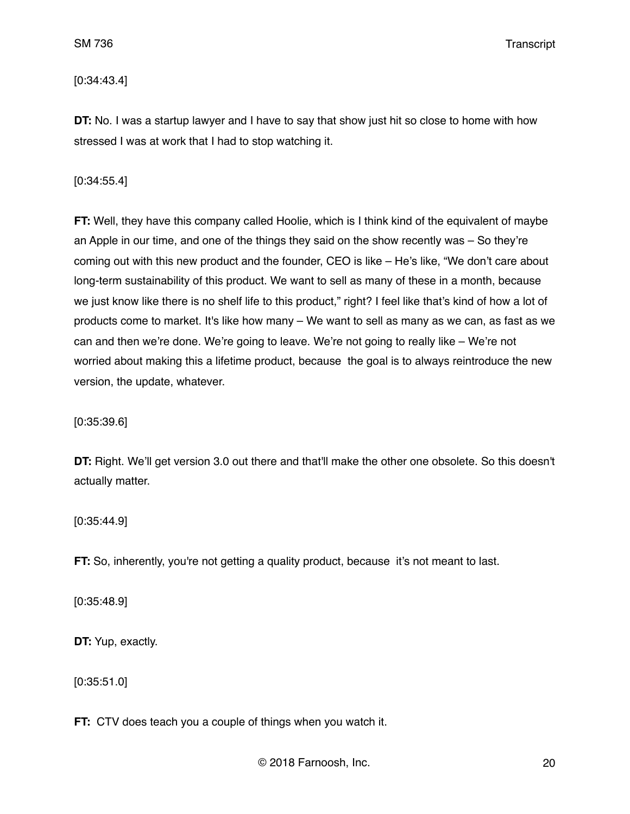[0:34:43.4]

**DT:** No. I was a startup lawyer and I have to say that show just hit so close to home with how stressed I was at work that I had to stop watching it.

[0:34:55.4]

**FT:** Well, they have this company called Hoolie, which is I think kind of the equivalent of maybe an Apple in our time, and one of the things they said on the show recently was – So they're coming out with this new product and the founder, CEO is like – He's like, "We don't care about long-term sustainability of this product. We want to sell as many of these in a month, because we just know like there is no shelf life to this product," right? I feel like that's kind of how a lot of products come to market. It's like how many – We want to sell as many as we can, as fast as we can and then we're done. We're going to leave. We're not going to really like – We're not worried about making this a lifetime product, because the goal is to always reintroduce the new version, the update, whatever.

[0:35:39.6]

**DT:** Right. We'll get version 3.0 out there and that'll make the other one obsolete. So this doesn't actually matter.

[0:35:44.9]

**FT:** So, inherently, you're not getting a quality product, because it's not meant to last.

[0:35:48.9]

**DT:** Yup, exactly.

[0:35:51.0]

**FT:** CTV does teach you a couple of things when you watch it.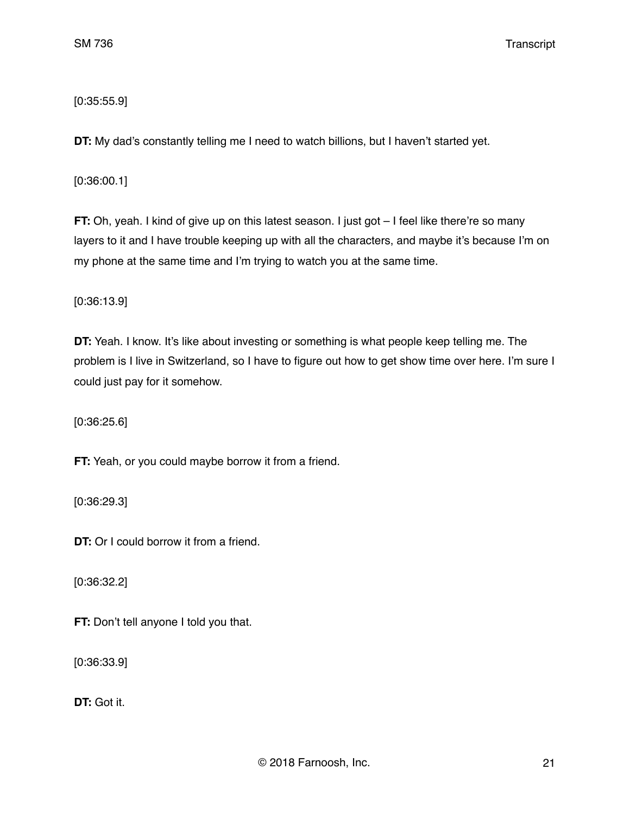## [0:35:55.9]

**DT:** My dad's constantly telling me I need to watch billions, but I haven't started yet.

[0:36:00.1]

**FT:** Oh, yeah. I kind of give up on this latest season. I just got – I feel like there're so many layers to it and I have trouble keeping up with all the characters, and maybe it's because I'm on my phone at the same time and I'm trying to watch you at the same time.

[0:36:13.9]

**DT:** Yeah. I know. It's like about investing or something is what people keep telling me. The problem is I live in Switzerland, so I have to figure out how to get show time over here. I'm sure I could just pay for it somehow.

[0:36:25.6]

**FT:** Yeah, or you could maybe borrow it from a friend.

[0:36:29.3]

**DT:** Or I could borrow it from a friend.

[0:36:32.2]

**FT:** Don't tell anyone I told you that.

[0:36:33.9]

**DT:** Got it.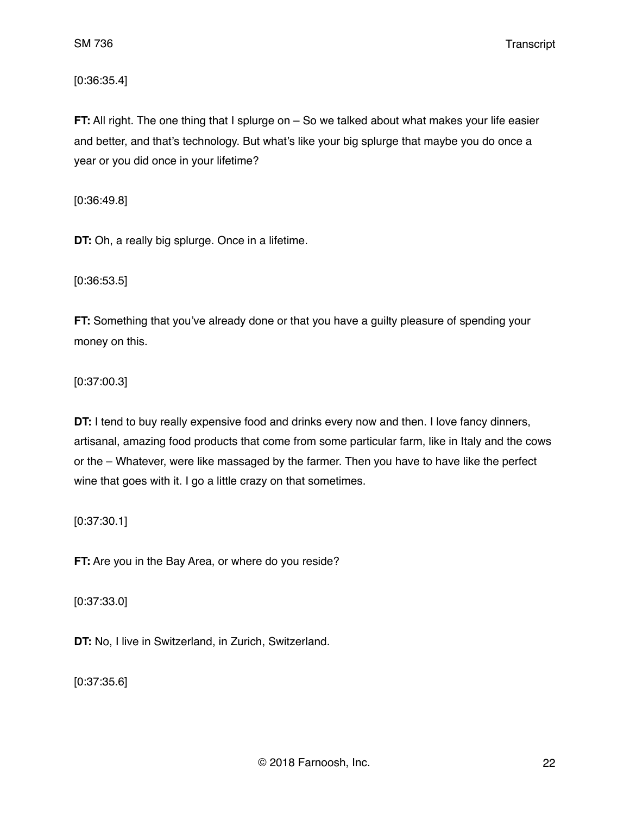[0:36:35.4]

**FT:** All right. The one thing that I splurge on – So we talked about what makes your life easier and better, and that's technology. But what's like your big splurge that maybe you do once a year or you did once in your lifetime?

[0:36:49.8]

**DT:** Oh, a really big splurge. Once in a lifetime.

[0:36:53.5]

**FT:** Something that you've already done or that you have a guilty pleasure of spending your money on this.

[0:37:00.3]

**DT:** I tend to buy really expensive food and drinks every now and then. I love fancy dinners, artisanal, amazing food products that come from some particular farm, like in Italy and the cows or the – Whatever, were like massaged by the farmer. Then you have to have like the perfect wine that goes with it. I go a little crazy on that sometimes.

[0:37:30.1]

**FT:** Are you in the Bay Area, or where do you reside?

[0:37:33.0]

**DT:** No, I live in Switzerland, in Zurich, Switzerland.

[0:37:35.6]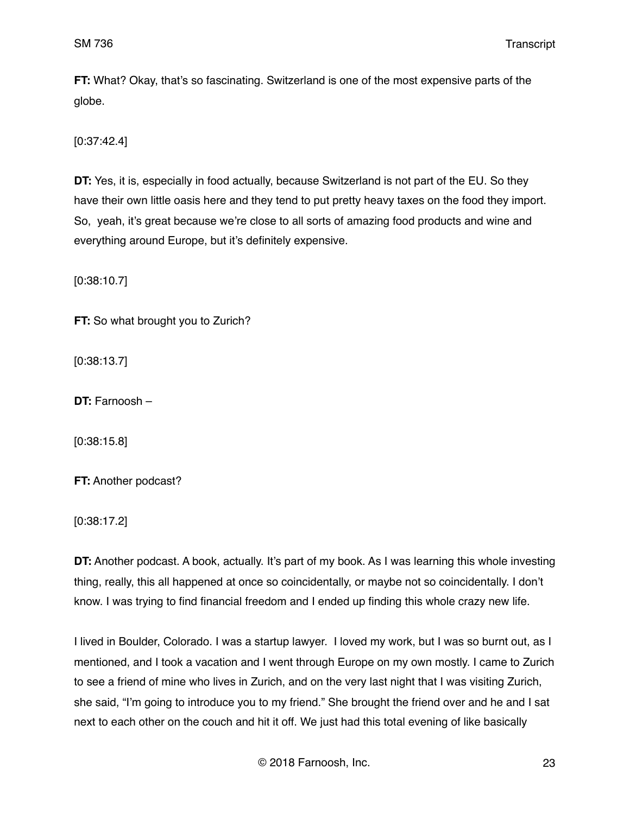**FT:** What? Okay, that's so fascinating. Switzerland is one of the most expensive parts of the globe.

[0:37:42.4]

**DT:** Yes, it is, especially in food actually, because Switzerland is not part of the EU. So they have their own little oasis here and they tend to put pretty heavy taxes on the food they import. So, yeah, it's great because we're close to all sorts of amazing food products and wine and everything around Europe, but it's definitely expensive.

[0:38:10.7]

**FT:** So what brought you to Zurich?

[0:38:13.7]

**DT:** Farnoosh –

[0:38:15.8]

**FT:** Another podcast?

[0:38:17.2]

**DT:** Another podcast. A book, actually. It's part of my book. As I was learning this whole investing thing, really, this all happened at once so coincidentally, or maybe not so coincidentally. I don't know. I was trying to find financial freedom and I ended up finding this whole crazy new life.

I lived in Boulder, Colorado. I was a startup lawyer. I loved my work, but I was so burnt out, as I mentioned, and I took a vacation and I went through Europe on my own mostly. I came to Zurich to see a friend of mine who lives in Zurich, and on the very last night that I was visiting Zurich, she said, "I'm going to introduce you to my friend." She brought the friend over and he and I sat next to each other on the couch and hit it off. We just had this total evening of like basically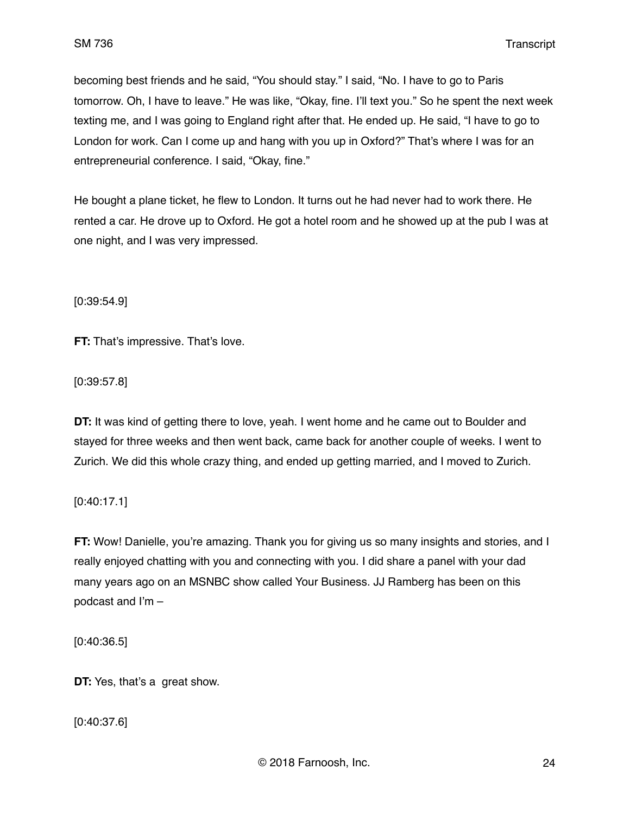becoming best friends and he said, "You should stay." I said, "No. I have to go to Paris tomorrow. Oh, I have to leave." He was like, "Okay, fine. I'll text you." So he spent the next week texting me, and I was going to England right after that. He ended up. He said, "I have to go to London for work. Can I come up and hang with you up in Oxford?" That's where I was for an entrepreneurial conference. I said, "Okay, fine."

He bought a plane ticket, he flew to London. It turns out he had never had to work there. He rented a car. He drove up to Oxford. He got a hotel room and he showed up at the pub I was at one night, and I was very impressed.

[0:39:54.9]

**FT:** That's impressive. That's love.

[0:39:57.8]

**DT:** It was kind of getting there to love, yeah. I went home and he came out to Boulder and stayed for three weeks and then went back, came back for another couple of weeks. I went to Zurich. We did this whole crazy thing, and ended up getting married, and I moved to Zurich.

[0:40:17.1]

**FT:** Wow! Danielle, you're amazing. Thank you for giving us so many insights and stories, and I really enjoyed chatting with you and connecting with you. I did share a panel with your dad many years ago on an MSNBC show called Your Business. JJ Ramberg has been on this podcast and I'm –

[0:40:36.5]

**DT:** Yes, that's a great show.

[0:40:37.6]